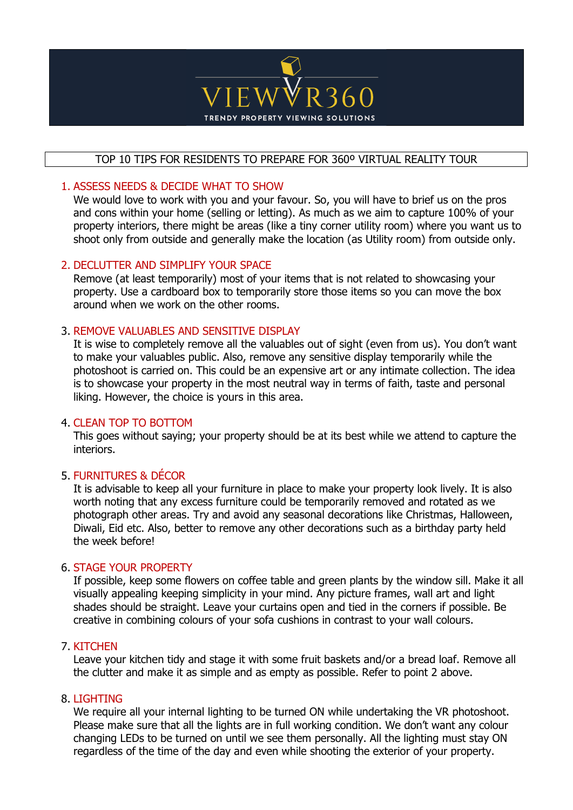

# TOP 10 TIPS FOR RESIDENTS TO PREPARE FOR 360º VIRTUAL REALITY TOUR

# 1. ASSESS NEEDS & DECIDE WHAT TO SHOW

We would love to work with you and your favour. So, you will have to brief us on the pros and cons within your home (selling or letting). As much as we aim to capture 100% of your property interiors, there might be areas (like a tiny corner utility room) where you want us to shoot only from outside and generally make the location (as Utility room) from outside only.

#### 2. DECLUTTER AND SIMPLIFY YOUR SPACE

Remove (at least temporarily) most of your items that is not related to showcasing your property. Use a cardboard box to temporarily store those items so you can move the box around when we work on the other rooms.

#### 3. REMOVE VALUABLES AND SENSITIVE DISPLAY

It is wise to completely remove all the valuables out of sight (even from us). You don't want to make your valuables public. Also, remove any sensitive display temporarily while the photoshoot is carried on. This could be an expensive art or any intimate collection. The idea is to showcase your property in the most neutral way in terms of faith, taste and personal liking. However, the choice is yours in this area.

#### 4. CLEAN TOP TO BOTTOM

This goes without saying; your property should be at its best while we attend to capture the interiors.

# 5. FURNITURES & DÉCOR

It is advisable to keep all your furniture in place to make your property look lively. It is also worth noting that any excess furniture could be temporarily removed and rotated as we photograph other areas. Try and avoid any seasonal decorations like Christmas, Halloween, Diwali, Eid etc. Also, better to remove any other decorations such as a birthday party held the week before!

# 6. STAGE YOUR PROPERTY

If possible, keep some flowers on coffee table and green plants by the window sill. Make it all visually appealing keeping simplicity in your mind. Any picture frames, wall art and light shades should be straight. Leave your curtains open and tied in the corners if possible. Be creative in combining colours of your sofa cushions in contrast to your wall colours.

#### 7. KITCHEN

Leave your kitchen tidy and stage it with some fruit baskets and/or a bread loaf. Remove all the clutter and make it as simple and as empty as possible. Refer to point 2 above.

#### 8. LIGHTING

We require all your internal lighting to be turned ON while undertaking the VR photoshoot. Please make sure that all the lights are in full working condition. We don't want any colour changing LEDs to be turned on until we see them personally. All the lighting must stay ON regardless of the time of the day and even while shooting the exterior of your property.